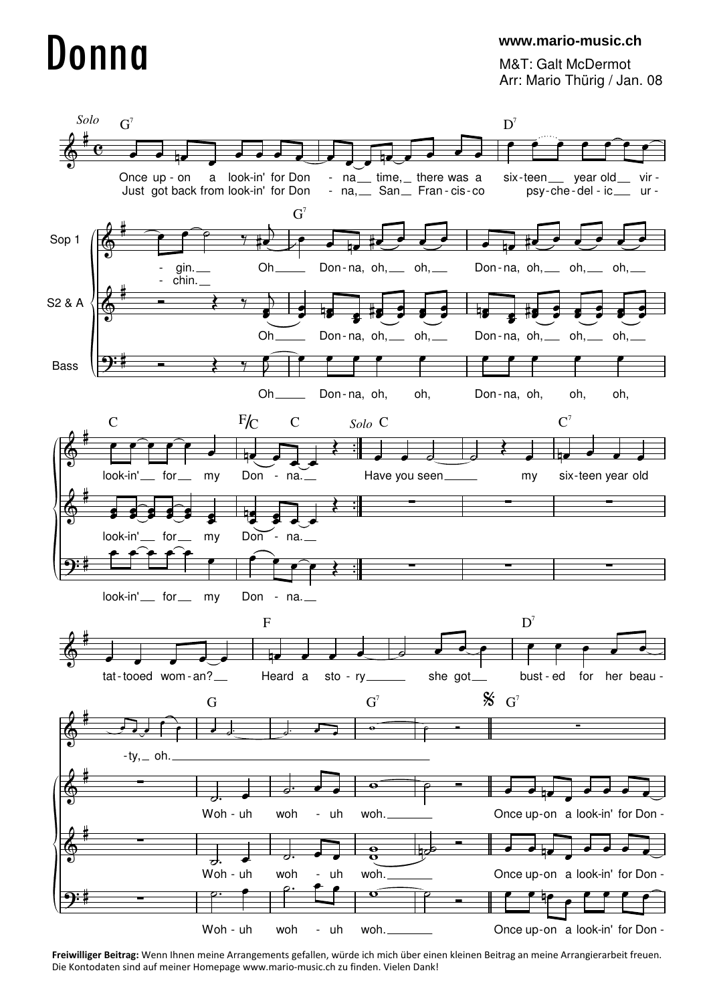## Donna

## **www.mario-music.ch**

M&T: Galt McDermot Arr: Mario Thürig / Jan. 08



**Freiwilliger Beitrag:** Wenn Ihnen meine Arrangements gefallen, würde ich mich über einen kleinen Beitrag an meine Arrangierarbeit freuen. Die Kontodaten sind auf meiner Homepage www.mario-music.ch zu finden. Vielen Dank!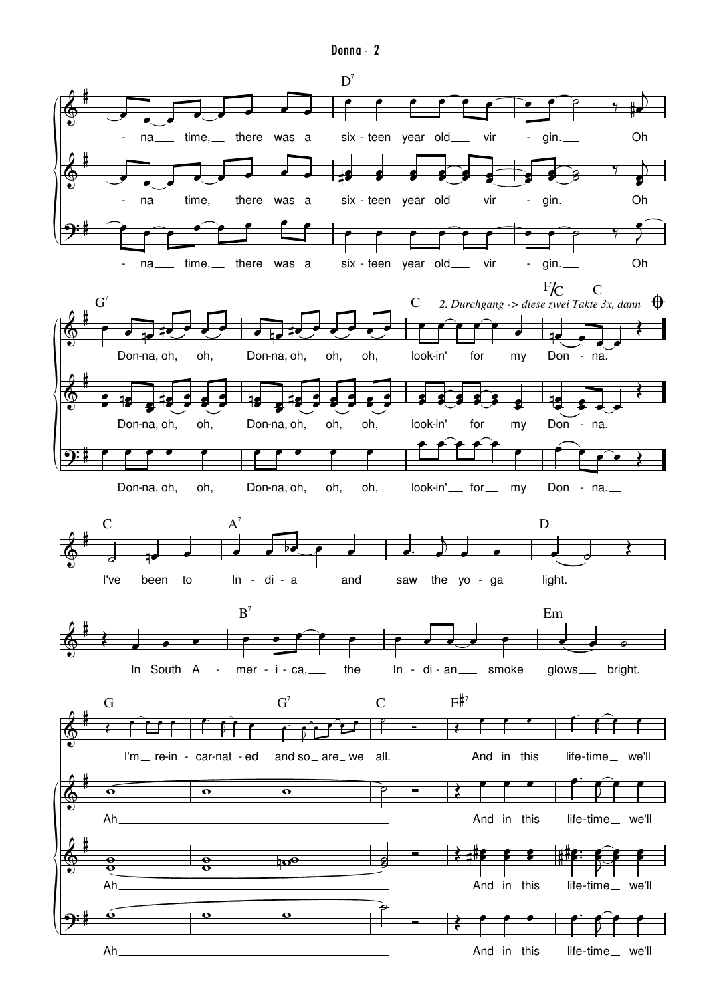

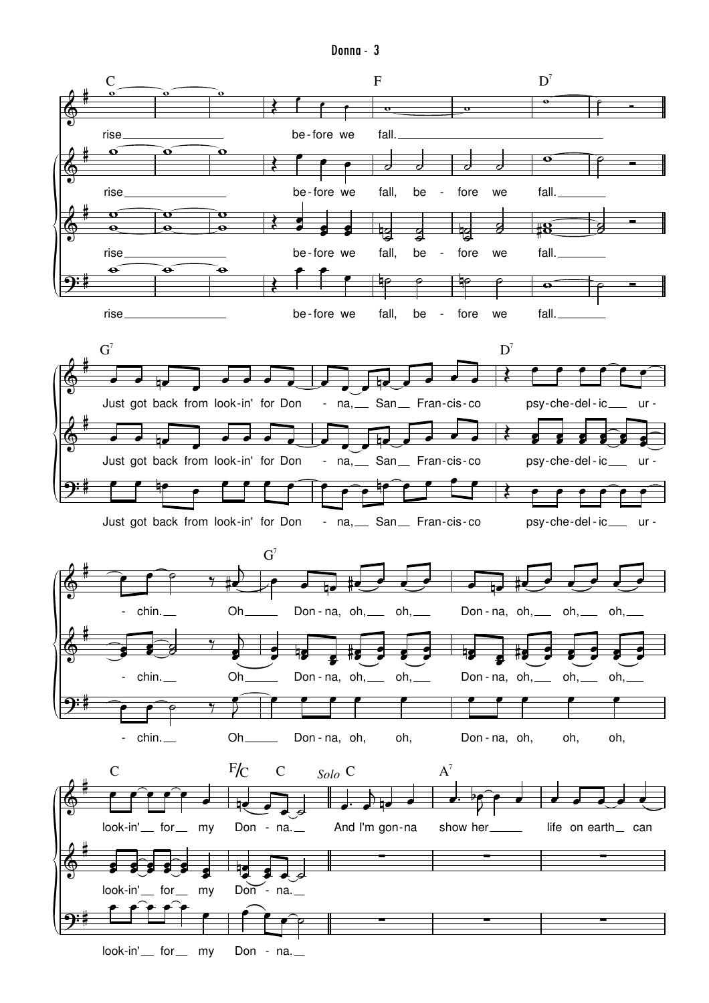Donna - 3